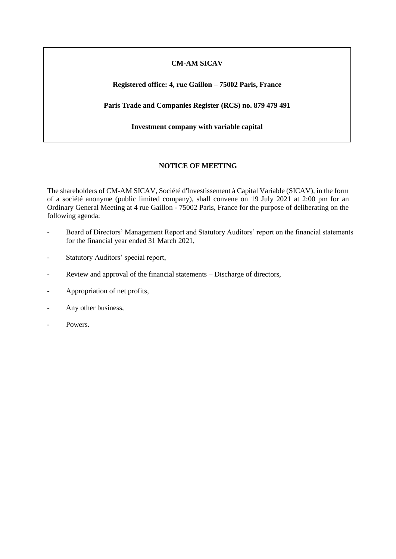## **CM-AM SICAV**

## **Registered office: 4, rue Gaillon – 75002 Paris, France**

**Paris Trade and Companies Register (RCS) no. 879 479 491**

**Investment company with variable capital**

## **NOTICE OF MEETING**

The shareholders of CM-AM SICAV, Société d'Investissement à Capital Variable (SICAV), in the form of a société anonyme (public limited company), shall convene on 19 July 2021 at 2:00 pm for an Ordinary General Meeting at 4 rue Gaillon - 75002 Paris, France for the purpose of deliberating on the following agenda:

- Board of Directors' Management Report and Statutory Auditors' report on the financial statements for the financial year ended 31 March 2021,
- Statutory Auditors' special report,
- Review and approval of the financial statements Discharge of directors,
- Appropriation of net profits,
- Any other business,
- Powers.